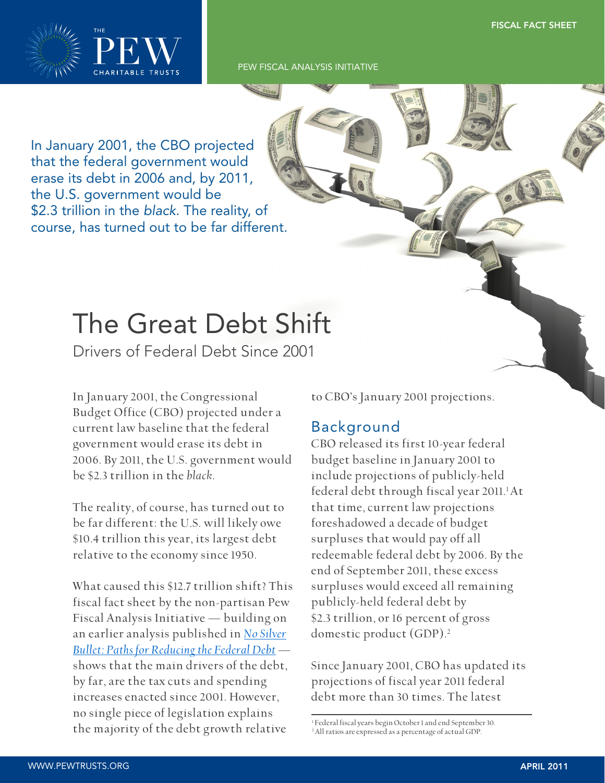

In January 2001, the CBO projected that the federal government would erase its debt in 2006 and, by 2011, the U.S. government would be \$2.3 trillion in the black. The reality, of course, has turned out to be far different.

# The Great Debt Shift

Drivers of Federal Debt Since 2001

In January 2001, the Congressional Budget Office (CBO) projected under a current law baseline that the federal government would erase its debt in 2006. By 2011, the U.S. government would be \$2.3 trillion in the *black*.

The reality, of course, has turned out to be far different: the U.S. will likely owe \$10.4 trillion this year, its largest debt relative to the economy since 1950.

What caused this \$12.7 trillion shift? This fiscal fact sheet by the non-partisan Pew Fiscal Analysis Initiative — building on an earlier analysis published in *No Silver [Bullet: Paths for Reducing the Federal Debt](http://www.pewtrusts.org/uploadedFiles/wwwpewtrustsorg/No_Silver_Bullet_Addendum.pdf)* shows that the main drivers of the debt, by far, are the tax cuts and spending increases enacted since 2001. However, no single piece of legislation explains the majority of the debt growth relative

to CBO's January 2001 projections.

## Background

CBO released its first 10-year federal budget baseline in January 2001 to include projections of publicly-held federal debt through fiscal year 2011.<sup>1</sup>At that time, current law projections foreshadowed a decade of budget surpluses that would pay off all redeemable federal debt by 2006. By the end of September 2011, these excess surpluses would exceed all remaining publicly-held federal debt by \$2.3 trillion, or 16 percent of gross domestic product (GDP).<sup>2</sup>

Since January 2001, CBO has updated its projections of fiscal year 2011 federal debt more than 30 times. The latest

<sup>1</sup> Federal fiscal years begin October 1 and end September 30. 2 All ratios are expressed as a percentage of actual GDP.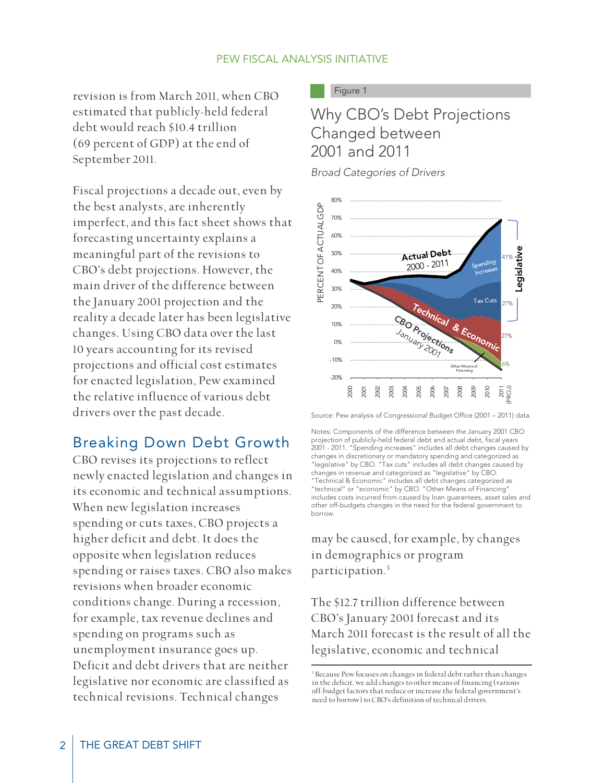revision is from March 2011, when CBO estimated that publicly-held federal debt would reach \$10.4 trillion (69 percent of GDP) at the end of September 2011.

Fiscal projections a decade out, even by the best analysts, are inherently imperfect, and this fact sheet shows that forecasting uncertainty explains a meaningful part of the revisions to CBO's debt projections. However, the main driver of the difference between the January 2001 projection and the reality a decade later has been legislative changes. Using CBO data over the last 10 years accounting for its revised projections and official cost estimates for enacted legislation, Pew examined the relative influence of various debt drivers over the past decade.

# Breaking Down Debt Growth

CBO revises its projections to reflect newly enacted legislation and changes in its economic and technical assumptions. When new legislation increases spending or cuts taxes, CBO projects a higher deficit and debt. It does the opposite when legislation reduces spending or raises taxes. CBO also makes revisions when broader economic conditions change. During a recession, for example, tax revenue declines and spending on programs such as unemployment insurance goes up. Deficit and debt drivers that are neither legislative nor economic are classified as technical revisions. Technical changes

Figure 1

# Why CBO's Debt Projections Changed between 2001 and 2011

Broad Categories of Drivers



Source: Pew analysis of Congressional Budget Office (2001 – 2011) data.

Notes: Components of the difference between the January 2001 CBO projection of publicly-held federal debt and actual debt, fiscal years 2001 - 2011. "Spending increases" includes all debt changes caused by changes in discretionary or mandatory spending and categorized as "legislative" by CBO. "Tax cuts" includes all debt changes caused by changes in revenue and categorized as "legislative" by CBO. "Technical & Economic" includes all debt changes categorized as "technical" or "economic" by CBO. "Other Means of Financing" includes costs incurred from caused by loan guarantees, asset sales and other off-budgets changes in the need for the federal government to borrow.

may be caused, for example, by changes in demographics or program participation.<sup>3</sup>

The \$12.7 trillion difference between CBO's January 2001 forecast and its March 2011 forecast is the result of all the legislative, economic and technical

<sup>3</sup> Because Pew focuses on changes in federal debt rather than changes in the deficit, we add changes to other means of financing (various off-budget factors that reduce or increase the federal government's need to borrow) to CBO's definition of technical drivers.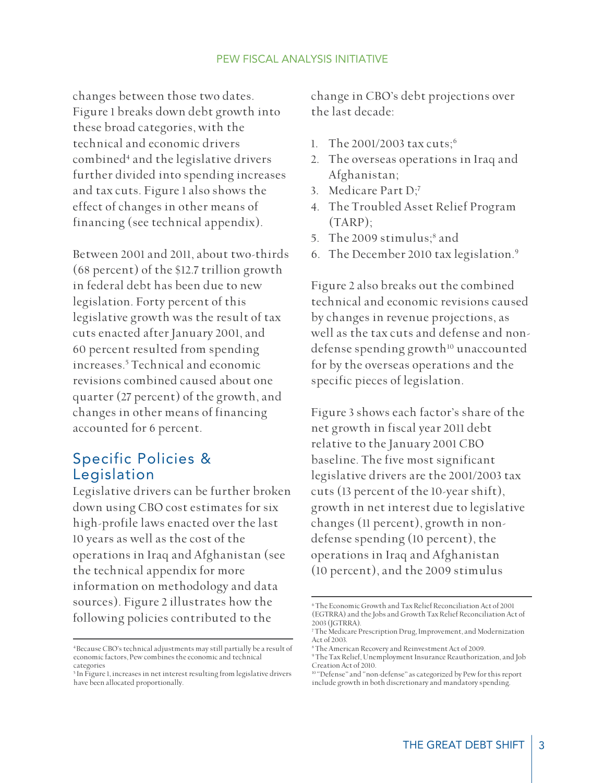changes between those two dates. Figure 1 breaks down debt growth into these broad categories, with the technical and economic drivers combined<sup>4</sup> and the legislative drivers further divided into spending increases and tax cuts. Figure 1 also shows the effect of changes in other means of financing (see technical appendix).

Between 2001 and 2011, about two-thirds (68 percent) of the \$12.7 trillion growth in federal debt has been due to new legislation. Forty percent of this legislative growth was the result of tax cuts enacted after January 2001, and 60 percent resulted from spending increases.<sup>5</sup> Technical and economic revisions combined caused about one quarter (27 percent) of the growth, and changes in other means of financing accounted for 6 percent.

## Specific Policies & Legislation

Legislative drivers can be further broken down using CBO cost estimates for six high-profile laws enacted over the last 10 years as well as the cost of the operations in Iraq and Afghanistan (see the technical appendix for more information on methodology and data sources). Figure 2 illustrates how the following policies contributed to the

change in CBO's debt projections over the last decade:

- 1. The 2001/2003 tax cuts;<sup>6</sup>
- 2. The overseas operations in Iraq and Afghanistan;
- 3. Medicare Part D;<sup>7</sup>
- 4. The Troubled Asset Relief Program (TARP);
- 5. The 2009 stimulus;<sup>8</sup> and
- 6. The December 2010 tax legislation.<sup>9</sup>

Figure 2 also breaks out the combined technical and economic revisions caused by changes in revenue projections, as well as the tax cuts and defense and nondefense spending growth<sup>10</sup> unaccounted for by the overseas operations and the specific pieces of legislation.

Figure 3 shows each factor's share of the net growth in fiscal year 2011 debt relative to the January 2001 CBO baseline. The five most significant legislative drivers are the 2001/2003 tax cuts (13 percent of the 10-year shift), growth in net interest due to legislative changes (11 percent), growth in nondefense spending (10 percent), the operations in Iraq and Afghanistan (10 percent), and the 2009 stimulus

<sup>4</sup>Because CBO's technical adjustments may still partially be a result of economic factors, Pew combines the economic and technical categories

<sup>&</sup>lt;sup>5</sup> In Figure 1, increases in net interest resulting from legislative drivers have been allocated proportionally.

<sup>6</sup> The Economic Growth and Tax Relief Reconciliation Act of 2001 (EGTRRA) and the Jobs and Growth Tax Relief Reconciliation Act of 2003 (JGTRRA).

<sup>7</sup> The Medicare Prescription Drug, Improvement, and Modernization Act of 2003.

<sup>8</sup> The American Recovery and Reinvestment Act of 2009.

<sup>9</sup> The Tax Relief, Unemployment Insurance Reauthorization, and Job Creation Act of 2010.

<sup>10</sup> "Defense" and "non-defense" as categorized by Pew for this report include growth in both discretionary and mandatory spending.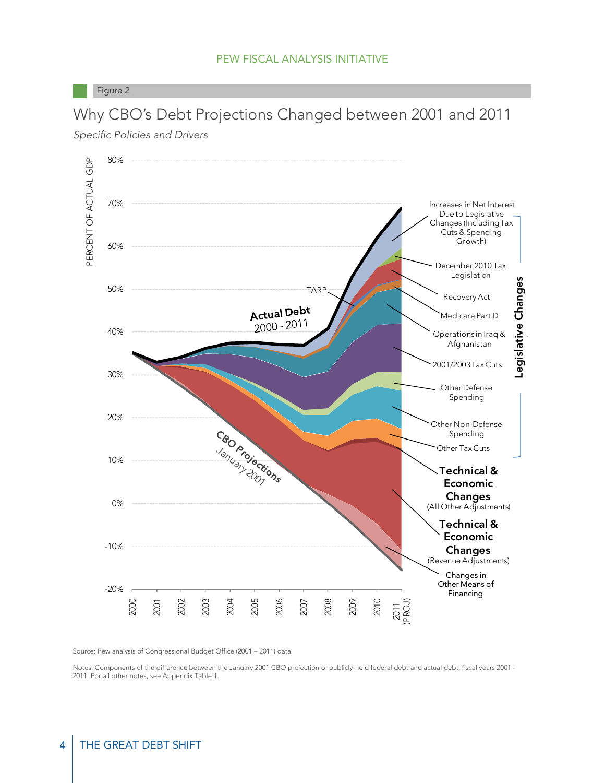Why CBO's Debt Projections Changed between 2001 and 2011

Figure 2



Specific Policies and Drivers

Source: Pew analysis of Congressional Budget Office (2001 – 2011) data.

Notes: Components of the difference between the January 2001 CBO projection of publicly-held federal debt and actual debt, fiscal years 2001 - 2011. For all other notes, see Appendix Table 1.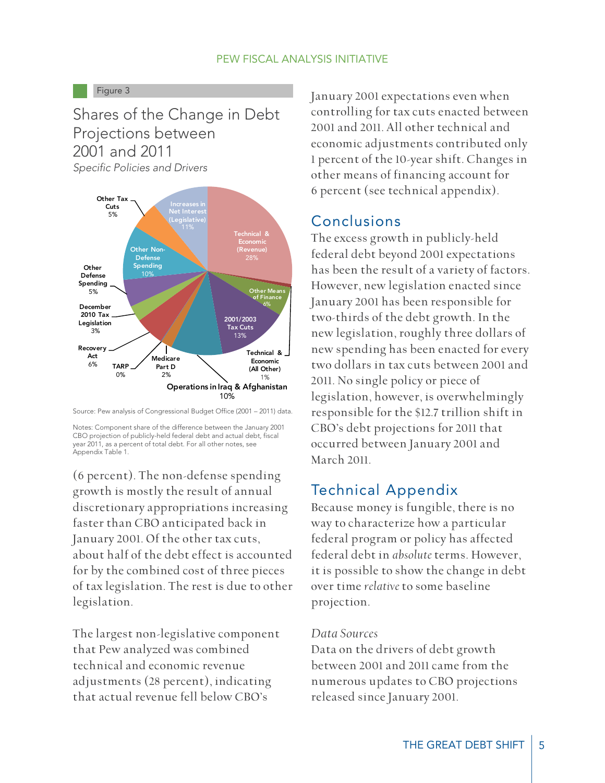#### Figure 3

# Shares of the Change in Debt Projections between 2001 and 2011

Specific Policies and Drivers



Source: Pew analysis of Congressional Budget Office (2001 – 2011) data.

Notes: Component share of the difference between the January 2001 CBO projection of publicly-held federal debt and actual debt, fiscal year 2011, as a percent of total debt. For all other notes, see Appendix Table 1.

(6 percent). The non-defense spending growth is mostly the result of annual discretionary appropriations increasing faster than CBO anticipated back in January 2001. Of the other tax cuts, about half of the debt effect is accounted for by the combined cost of three pieces of tax legislation. The rest is due to other legislation.

The largest non-legislative component that Pew analyzed was combined technical and economic revenue adjustments (28 percent), indicating that actual revenue fell below CBO's

January 2001 expectations even when controlling for tax cuts enacted between 2001 and 2011. All other technical and economic adjustments contributed only 1 percent of the 10-year shift. Changes in other means of financing account for 6 percent (see technical appendix).

## Conclusions

The excess growth in publicly-held federal debt beyond 2001 expectations has been the result of a variety of factors. However, new legislation enacted since January 2001 has been responsible for two-thirds of the debt growth. In the new legislation, roughly three dollars of new spending has been enacted for every two dollars in tax cuts between 2001 and 2011. No single policy or piece of legislation, however, is overwhelmingly responsible for the \$12.7 trillion shift in CBO's debt projections for 2011 that occurred between January 2001 and March 2011.

# Technical Appendix

Because money is fungible, there is no way to characterize how a particular federal program or policy has affected federal debt in *absolute* terms. However, it is possible to show the change in debt over time *relative* to some baseline projection.

#### *Data Sources*

Data on the drivers of debt growth between 2001 and 2011 came from the numerous updates to CBO projections released since January 2001.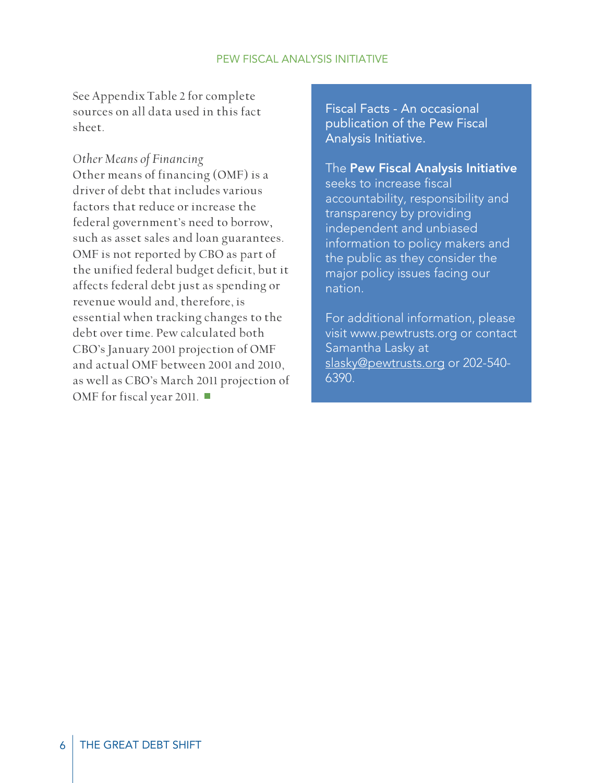See Appendix Table 2 for complete sources on all data used in this fact sheet.

*Other Means of Financing*  Other means of financing (OMF) is a driver of debt that includes various factors that reduce or increase the federal government's need to borrow, such as asset sales and loan guarantees. OMF is not reported by CBO as part of the unified federal budget deficit, but it affects federal debt just as spending or revenue would and, therefore, is essential when tracking changes to the debt over time. Pew calculated both CBO's January 2001 projection of OMF and actual OMF between 2001 and 2010, as well as CBO's March 2011 projection of OMF for fiscal year 2011. ■

Fiscal Facts - An occasional publication of the Pew Fiscal Analysis Initiative.

# The Pew Fiscal Analysis Initiative

seeks to increase fiscal accountability, responsibility and transparency by providing independent and unbiased information to policy makers and the public as they consider the major policy issues facing our nation.

For additional information, please visit www.pewtrusts.org or contact Samantha Lasky at slasky@pewtrusts.org or 202-540- 6390.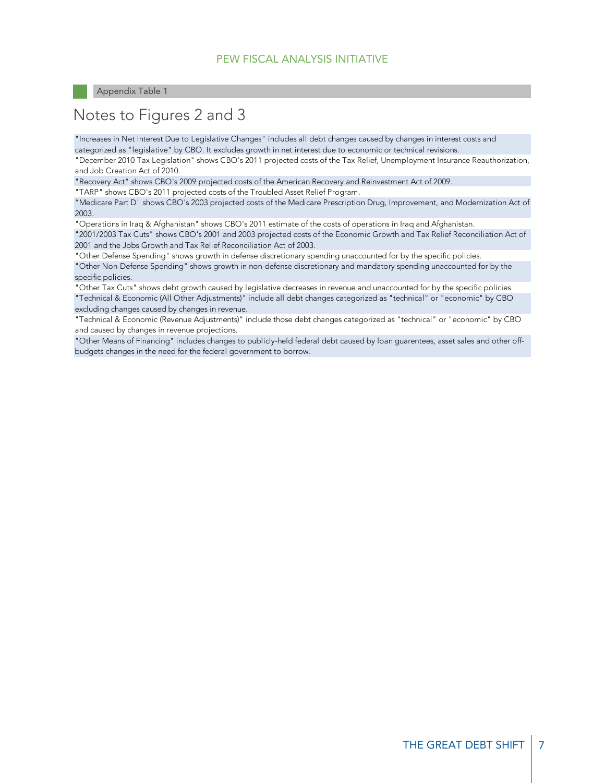# Notes to Figures 2 and 3

"Increases in Net Interest Due to Legislative Changes" includes all debt changes caused by changes in interest costs and categorized as "legislative" by CBO. It excludes growth in net interest due to economic or technical revisions.

"December 2010 Tax Legislation" shows CBO's 2011 projected costs of the Tax Relief, Unemployment Insurance Reauthorization, and Job Creation Act of 2010.

"Recovery Act" shows CBO's 2009 projected costs of the American Recovery and Reinvestment Act of 2009.

"TARP" shows CBO's 2011 projected costs of the Troubled Asset Relief Program.

"Medicare Part D" shows CBO's 2003 projected costs of the Medicare Prescription Drug, Improvement, and Modernization Act of 2003.

"Operations in Iraq & Afghanistan" shows CBO's 2011 estimate of the costs of operations in Iraq and Afghanistan.

"2001/2003 Tax Cuts" shows CBO's 2001 and 2003 projected costs of the Economic Growth and Tax Relief Reconciliation Act of 2001 and the Jobs Growth and Tax Relief Reconciliation Act of 2003.

"Other Defense Spending" shows growth in defense discretionary spending unaccounted for by the specific policies. "Other Non-Defense Spending" shows growth in non-defense discretionary and mandatory spending unaccounted for by the specific policies.

"Other Tax Cuts" shows debt growth caused by legislative decreases in revenue and unaccounted for by the specific policies. "Technical & Economic (All Other Adjustments)" include all debt changes categorized as "technical" or "economic" by CBO excluding changes caused by changes in revenue.

"Technical & Economic (Revenue Adjustments)" include those debt changes categorized as "technical" or "economic" by CBO and caused by changes in revenue projections.

"Other Means of Financing" includes changes to publicly-held federal debt caused by loan guarentees, asset sales and other offbudgets changes in the need for the federal government to borrow.